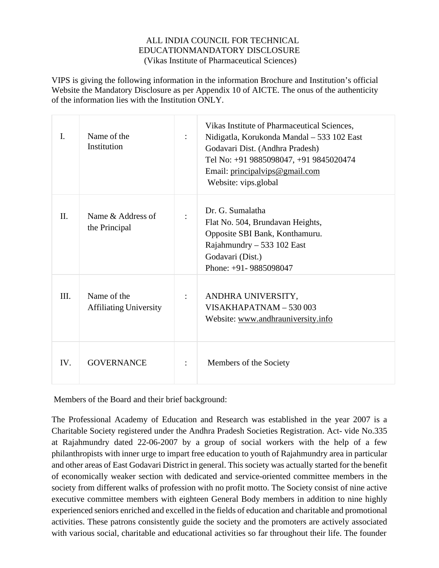VIPS is giving the following information in the information Brochure and Institution's official Website the Mandatory Disclosure as per Appendix 10 of AICTE. The onus of the authenticity of the information lies with the Institution ONLY.

| $\mathbf{I}$ . | Name of the<br>Institution                   |                | Vikas Institute of Pharmaceutical Sciences,<br>Nidigatla, Korukonda Mandal - 533 102 East<br>Godavari Dist. (Andhra Pradesh)<br>Tel No: +91 9885098047, +91 9845020474<br>Email: principalvips@gmail.com<br>Website: vips.global |
|----------------|----------------------------------------------|----------------|----------------------------------------------------------------------------------------------------------------------------------------------------------------------------------------------------------------------------------|
| II.            | Name & Address of<br>the Principal           |                | Dr. G. Sumalatha<br>Flat No. 504, Brundavan Heights,<br>Opposite SBI Bank, Konthamuru.<br>Rajahmundry $-533$ 102 East<br>Godavari (Dist.)<br>Phone: $+91 - 9885098047$                                                           |
| III.           | Name of the<br><b>Affiliating University</b> | $\ddot{\cdot}$ | ANDHRA UNIVERSITY,<br>$VISAKHAPATNAM - 530003$<br>Website: www.andhrauniversity.info                                                                                                                                             |
| IV.            | <b>GOVERNANCE</b>                            |                | Members of the Society                                                                                                                                                                                                           |

Members of the Board and their brief background:

The Professional Academy of Education and Research was established in the year 2007 is a Charitable Society registered under the Andhra Pradesh Societies Registration. Act- vide No.335 at Rajahmundry dated 22-06-2007 by a group of social workers with the help of a few philanthropists with inner urge to impart free education to youth of Rajahmundry area in particular and other areas of East Godavari District in general. This society was actually started for the benefit of economically weaker section with dedicated and service-oriented committee members in the society from different walks of profession with no profit motto. The Society consist of nine active executive committee members with eighteen General Body members in addition to nine highly experienced seniors enriched and excelled in the fields of education and charitable and promotional activities. These patrons consistently guide the society and the promoters are actively associated with various social, charitable and educational activities so far throughout their life. The founder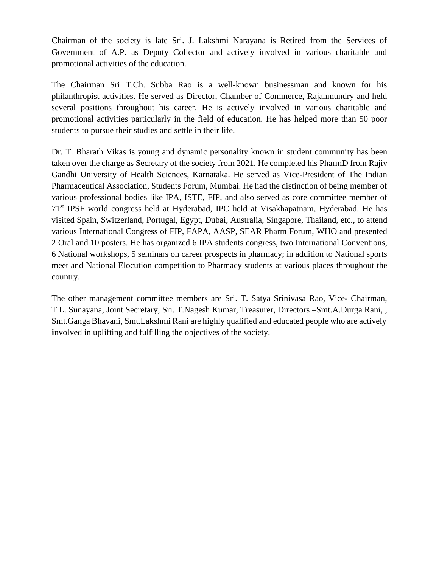Chairman of the society is late Sri. J. Lakshmi Narayana is Retired from the Services of Government of A.P. as Deputy Collector and actively involved in various charitable and promotional activities of the education.

The Chairman Sri T.Ch. Subba Rao is a well-known businessman and known for his philanthropist activities. He served as Director, Chamber of Commerce, Rajahmundry and held several positions throughout his career. He is actively involved in various charitable and promotional activities particularly in the field of education. He has helped more than 50 poor students to pursue their studies and settle in their life.

Dr. T. Bharath Vikas is young and dynamic personality known in student community has been taken over the charge as Secretary of the society from 2021. He completed his PharmD from Rajiv Gandhi University of Health Sciences, Karnataka. He served as Vice-President of The Indian Pharmaceutical Association, Students Forum, Mumbai. He had the distinction of being member of various professional bodies like IPA, ISTE, FIP, and also served as core committee member of 71st IPSF world congress held at Hyderabad, IPC held at Visakhapatnam, Hyderabad. He has visited Spain, Switzerland, Portugal, Egypt, Dubai, Australia, Singapore, Thailand, etc., to attend various International Congress of FIP, FAPA, AASP, SEAR Pharm Forum, WHO and presented 2 Oral and 10 posters. He has organized 6 IPA students congress, two International Conventions, 6 National workshops, 5 seminars on career prospects in pharmacy; in addition to National sports meet and National Elocution competition to Pharmacy students at various places throughout the country.

The other management committee members are Sri. T. Satya Srinivasa Rao, Vice- Chairman, T.L. Sunayana, Joint Secretary, Sri. T.Nagesh Kumar, Treasurer, Directors –Smt.A.Durga Rani, , Smt.Ganga Bhavani, Smt.Lakshmi Rani are highly qualified and educated people who are actively involved in uplifting and fulfilling the objectives of the society.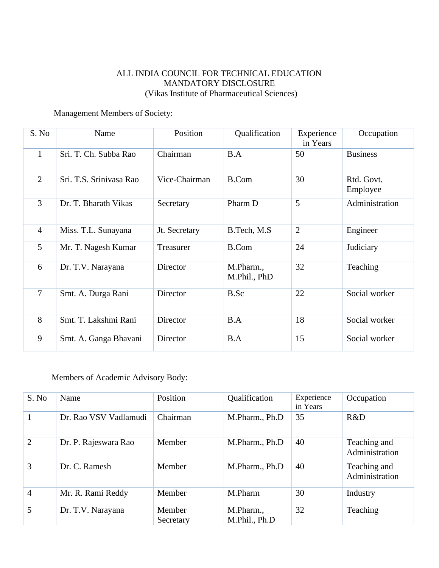#### Management Members of Society:

| S. No          | Name                    | Position      | Qualification             | Experience<br>in Years | Occupation             |
|----------------|-------------------------|---------------|---------------------------|------------------------|------------------------|
| $\mathbf{1}$   | Sri. T. Ch. Subba Rao   | Chairman      | B.A                       | 50                     | <b>Business</b>        |
| $\overline{2}$ | Sri. T.S. Srinivasa Rao | Vice-Chairman | <b>B.Com</b>              | 30                     | Rtd. Govt.<br>Employee |
| $\overline{3}$ | Dr. T. Bharath Vikas    | Secretary     | Pharm D                   | 5                      | Administration         |
| $\overline{4}$ | Miss. T.L. Sunayana     | Jt. Secretary | B.Tech, M.S.              | $\overline{2}$         | Engineer               |
| 5              | Mr. T. Nagesh Kumar     | Treasurer     | <b>B.Com</b>              | 24                     | Judiciary              |
| 6              | Dr. T.V. Narayana       | Director      | M.Pharm.,<br>M.Phil., PhD | 32                     | Teaching               |
| $\overline{7}$ | Smt. A. Durga Rani      | Director      | B.Sc                      | 22                     | Social worker          |
| 8              | Smt. T. Lakshmi Rani    | Director      | B.A                       | 18                     | Social worker          |
| 9              | Smt. A. Ganga Bhavani   | Director      | B.A                       | 15                     | Social worker          |

#### Members of Academic Advisory Body:

| S. No          | Name                  | Position            | Qualification              | Experience<br>in Years | Occupation                     |
|----------------|-----------------------|---------------------|----------------------------|------------------------|--------------------------------|
|                | Dr. Rao VSV Vadlamudi | Chairman            | M.Pharm., Ph.D             | 35                     | R&D                            |
| $\overline{2}$ | Dr. P. Rajeswara Rao  | Member              | M.Pharm., Ph.D             | 40                     | Teaching and<br>Administration |
| 3              | Dr. C. Ramesh         | Member              | M.Pharm., Ph.D             | 40                     | Teaching and<br>Administration |
| $\overline{4}$ | Mr. R. Rami Reddy     | Member              | M.Pharm                    | 30                     | Industry                       |
| 5              | Dr. T.V. Narayana     | Member<br>Secretary | M.Pharm.,<br>M.Phil., Ph.D | 32                     | Teaching                       |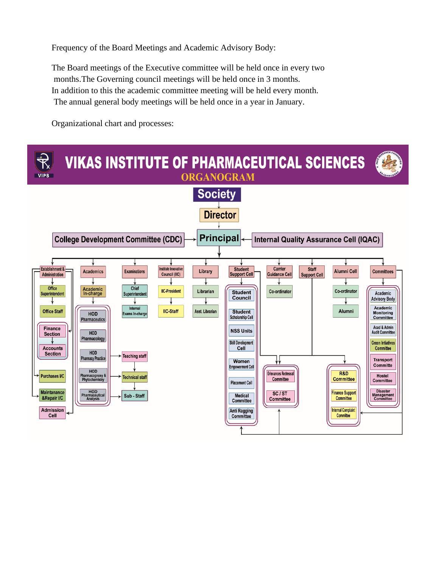Frequency of the Board Meetings and Academic Advisory Body:

The Board meetings of the Executive committee will be held once in every two months.The Governing council meetings will be held once in 3 months. In addition to this the academic committee meeting will be held every month. The annual general body meetings will be held once in a year in January.

Organizational chart and processes:

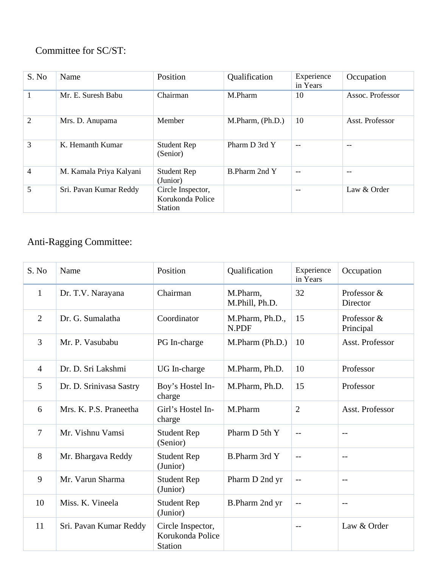# Committee for SC/ST:

| S. No | Name                    | Position                                                | Qualification    | Experience<br>in Years | Occupation       |
|-------|-------------------------|---------------------------------------------------------|------------------|------------------------|------------------|
|       | Mr. E. Suresh Babu      | Chairman                                                | M.Pharm          | 10                     | Assoc. Professor |
| 2     | Mrs. D. Anupama         | Member                                                  | M.Pharm, (Ph.D.) | 10                     | Asst. Professor  |
| 3     | K. Hemanth Kumar        | <b>Student Rep</b><br>(Senior)                          | Pharm D 3rd Y    | $-$                    | $- -$            |
| 4     | M. Kamala Priya Kalyani | <b>Student Rep</b><br>(Junior)                          | B.Pharm 2nd Y    | $-$                    | --               |
| 5     | Sri. Pavan Kumar Reddy  | Circle Inspector,<br>Korukonda Police<br><b>Station</b> |                  | $-$                    | Law & Order      |

# Anti-Ragging Committee:

| S. No          | Name                    | Position                                                | Qualification              | Experience<br>in Years | Occupation               |
|----------------|-------------------------|---------------------------------------------------------|----------------------------|------------------------|--------------------------|
| $\mathbf{1}$   | Dr. T.V. Narayana       | Chairman                                                | M.Pharm,<br>M.Phill, Ph.D. | 32                     | Professor &<br>Director  |
| 2              | Dr. G. Sumalatha        | Coordinator                                             | M.Pharm, Ph.D.,<br>N.PDF   | 15                     | Professor &<br>Principal |
| 3              | Mr. P. Vasubabu         | PG In-charge                                            | M.Pharm (Ph.D.)            | 10                     | Asst. Professor          |
| $\overline{4}$ | Dr. D. Sri Lakshmi      | UG In-charge                                            | M.Pharm, Ph.D.             | 10                     | Professor                |
| 5              | Dr. D. Srinivasa Sastry | Boy's Hostel In-<br>charge                              | M.Pharm, Ph.D.             | 15                     | Professor                |
| 6              | Mrs. K. P.S. Praneetha  | Girl's Hostel In-<br>charge                             | M.Pharm                    | $\overline{2}$         | Asst. Professor          |
| $\overline{7}$ | Mr. Vishnu Vamsi        | <b>Student Rep</b><br>(Senior)                          | Pharm D 5th Y              | $-$                    | $-$                      |
| 8              | Mr. Bhargava Reddy      | <b>Student Rep</b><br>(Junior)                          | B.Pharm 3rd Y              | $-$                    | $-$                      |
| 9              | Mr. Varun Sharma        | <b>Student Rep</b><br>(Junior)                          | Pharm D 2nd yr             | $-$                    | $-$                      |
| 10             | Miss. K. Vineela        | <b>Student Rep</b><br>(Junior)                          | B.Pharm 2nd yr             | $-$                    | $-$                      |
| 11             | Sri. Pavan Kumar Reddy  | Circle Inspector,<br>Korukonda Police<br><b>Station</b> |                            | $- -$                  | Law & Order              |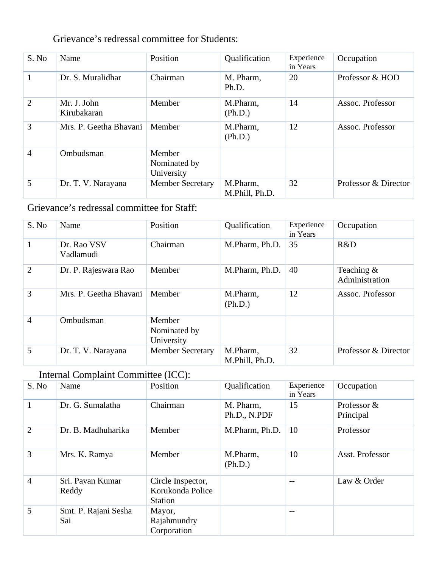|       | OTTO PRITOD TELEVIZIONI OVAIHIITIROO TVA DIRROHIMA |          |                     |                        |                  |
|-------|----------------------------------------------------|----------|---------------------|------------------------|------------------|
| S. No | Name                                               | Position | Qualification       | Experience<br>in Years | Occupation       |
|       | Dr. S. Muralidhar                                  | Chairman | M. Pharm,<br>Ph.D.  | 20                     | Professor & HOD  |
| 2     | Mr. J. John<br>Kirubakaran                         | Member   | M.Pharm,<br>(Ph.D.) | 14                     | Assoc. Professor |

Nominated by

University<br>Member Secretary

Grievance's redressal committee for Students:

3 Mrs. P. Geetha Bhavani Member M.Pharm,

5 Dr. T. V. Narayana Member Secretary M. Pharm,

## Grievance's redressal committee for Staff:

4 Ombudsman Member

| S. No          | Name                     | Position                             | Qualification              | Experience<br>in Years | Occupation                     |
|----------------|--------------------------|--------------------------------------|----------------------------|------------------------|--------------------------------|
|                | Dr. Rao VSV<br>Vadlamudi | Chairman                             | M.Pharm, Ph.D.             | 35                     | R&D                            |
| $\overline{2}$ | Dr. P. Rajeswara Rao     | Member                               | M.Pharm, Ph.D.             | 40                     | Teaching $&$<br>Administration |
| 3              | Mrs. P. Geetha Bhavani   | Member                               | M.Pharm,<br>(Ph.D.)        | 12                     | Assoc. Professor               |
| $\overline{4}$ | Ombudsman                | Member<br>Nominated by<br>University |                            |                        |                                |
| 5              | Dr. T. V. Narayana       | <b>Member Secretary</b>              | M.Pharm,<br>M.Phill, Ph.D. | 32                     | Professor & Director           |

(Ph.D.)

M.Phill, Ph.D.

12 Assoc. Professor

32 Professor & Director

### Internal Complaint Committee (ICC):

| S. No          | Name                        | Position                                                | Qualification             | Experience<br>in Years | Occupation               |
|----------------|-----------------------------|---------------------------------------------------------|---------------------------|------------------------|--------------------------|
| 1              | Dr. G. Sumalatha            | Chairman                                                | M. Pharm,<br>Ph.D., N.PDF | 15                     | Professor &<br>Principal |
| $\overline{2}$ | Dr. B. Madhuharika          | Member                                                  | M.Pharm, Ph.D.            | 10                     | Professor                |
| 3              | Mrs. K. Ramya               | Member                                                  | M.Pharm,<br>(Ph.D.)       | 10                     | Asst. Professor          |
| $\overline{4}$ | Sri, Pavan Kumar<br>Reddy   | Circle Inspector,<br>Korukonda Police<br><b>Station</b> |                           | --                     | Law & Order              |
| 5              | Smt. P. Rajani Sesha<br>Sai | Mayor,<br>Rajahmundry<br>Corporation                    |                           | --                     |                          |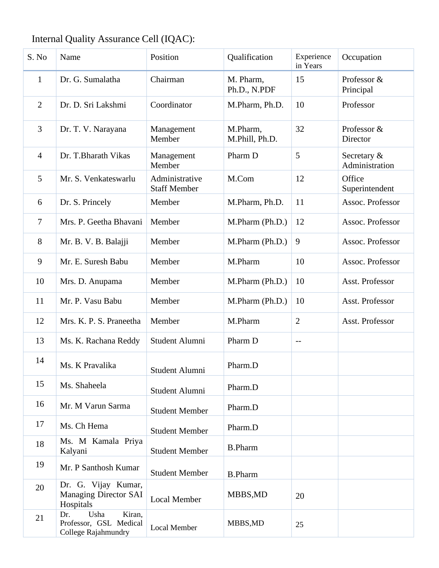# Internal Quality Assurance Cell (IQAC):

| S. No          | Name                                                                   | Position                              | Qualification              | Experience<br>in Years | Occupation                    |
|----------------|------------------------------------------------------------------------|---------------------------------------|----------------------------|------------------------|-------------------------------|
| $\mathbf{1}$   | Dr. G. Sumalatha                                                       | Chairman                              | M. Pharm,<br>Ph.D., N.PDF  | 15                     | Professor &<br>Principal      |
| $\overline{2}$ | Dr. D. Sri Lakshmi                                                     | Coordinator                           | M.Pharm, Ph.D.             | 10                     | Professor                     |
| 3              | Dr. T. V. Narayana                                                     | Management<br>Member                  | M.Pharm,<br>M.Phill, Ph.D. | 32                     | Professor &<br>Director       |
| $\overline{4}$ | Dr. T.Bharath Vikas                                                    | Management<br>Member                  | Pharm D                    | 5                      | Secretary &<br>Administration |
| 5              | Mr. S. Venkateswarlu                                                   | Administrative<br><b>Staff Member</b> | M.Com                      | 12                     | Office<br>Superintendent      |
| 6              | Dr. S. Princely                                                        | Member                                | M.Pharm, Ph.D.             | 11                     | Assoc. Professor              |
| $\tau$         | Mrs. P. Geetha Bhavani                                                 | Member                                | M.Pharm (Ph.D.)            | 12                     | Assoc. Professor              |
| 8              | Mr. B. V. B. Balajji                                                   | Member                                | M.Pharm (Ph.D.)            | 9                      | Assoc. Professor              |
| 9              | Mr. E. Suresh Babu                                                     | Member                                | M.Pharm                    | 10                     | Assoc. Professor              |
| 10             | Mrs. D. Anupama                                                        | Member                                | M.Pharm (Ph.D.)            | 10                     | Asst. Professor               |
| 11             | Mr. P. Vasu Babu                                                       | Member                                | M.Pharm (Ph.D.)            | 10                     | Asst. Professor               |
| 12             | Mrs. K. P. S. Praneetha                                                | Member                                | M.Pharm                    | $\overline{2}$         | Asst. Professor               |
| 13             | Ms. K. Rachana Reddy                                                   | Student Alumni                        | Pharm D                    | $-$                    |                               |
| 14             | Ms. K Pravalika                                                        | Student Alumni                        | Pharm.D                    |                        |                               |
| 15             | Ms. Shaheela                                                           | Student Alumni                        | Pharm.D                    |                        |                               |
| 16             | Mr. M Varun Sarma                                                      | <b>Student Member</b>                 | Pharm.D                    |                        |                               |
| 17             | Ms. Ch Hema                                                            | <b>Student Member</b>                 | Pharm.D                    |                        |                               |
| 18             | Ms. M Kamala Priya<br>Kalyani                                          | <b>Student Member</b>                 | <b>B.Pharm</b>             |                        |                               |
| 19             | Mr. P Santhosh Kumar                                                   | <b>Student Member</b>                 | <b>B.Pharm</b>             |                        |                               |
| 20             | Dr. G. Vijay Kumar,<br>Managing Director SAI<br>Hospitals              | <b>Local Member</b>                   | MBBS, MD                   | 20                     |                               |
| 21             | Kiran,<br>Usha<br>Dr.<br>Professor, GSL Medical<br>College Rajahmundry | <b>Local Member</b>                   | MBBS, MD                   | 25                     |                               |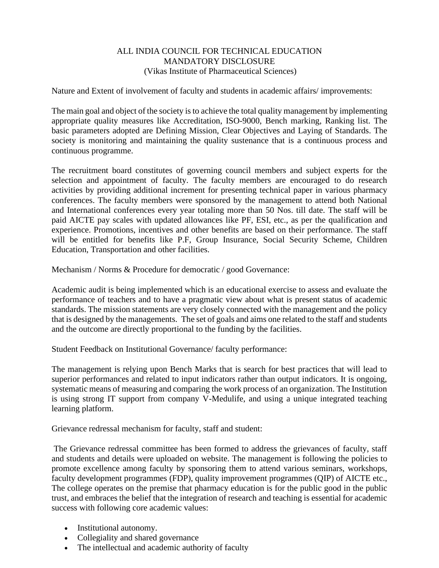Nature and Extent of involvement of faculty and students in academic affairs/ improvements:

The main goal and object of the society is to achieve the total quality management by implementing appropriate quality measures like Accreditation, ISO-9000, Bench marking, Ranking list. The basic parameters adopted are Defining Mission, Clear Objectives and Laying of Standards. The society is monitoring and maintaining the quality sustenance that is a continuous process and continuous programme.

The recruitment board constitutes of governing council members and subject experts for the selection and appointment of faculty. The faculty members are encouraged to do research activities by providing additional increment for presenting technical paper in various pharmacy conferences. The faculty members were sponsored by the management to attend both National and International conferences every year totaling more than 50 Nos. till date. The staff will be paid AICTE pay scales with updated allowances like PF, ESI, etc., as per the qualification and experience. Promotions, incentives and other benefits are based on their performance. The staff will be entitled for benefits like P.F, Group Insurance, Social Security Scheme, Children Education, Transportation and other facilities.

Mechanism / Norms & Procedure for democratic / good Governance:

Academic audit is being implemented which is an educational exercise to assess and evaluate the performance of teachers and to have a pragmatic view about what is present status of academic standards. The mission statements are very closely connected with the management and the policy that is designed by the managements. The set of goals and aims one related to the staff and students and the outcome are directly proportional to the funding by the facilities.

Student Feedback on Institutional Governance/ faculty performance:

The management is relying upon Bench Marks that is search for best practices that will lead to superior performances and related to input indicators rather than output indicators. It is ongoing, systematic means of measuring and comparing the work process of an organization. The Institution is using strong IT support from company V-Medulife, and using a unique integrated teaching learning platform.

Grievance redressal mechanism for faculty, staff and student:

The Grievance redressal committee has been formed to address the grievances of faculty, staff and students and details were uploaded on website. The management is following the policies to promote excellence among faculty by sponsoring them to attend various seminars, workshops, faculty development programmes (FDP), quality improvement programmes (QIP) of AICTE etc., The college operates on the premise that pharmacy education is for the public good in the public trust, and embraces the belief that the integration of research and teaching is essential for academic success with following core academic values:

- Institutional autonomy.
- Collegiality and shared governance
- The intellectual and academic authority of faculty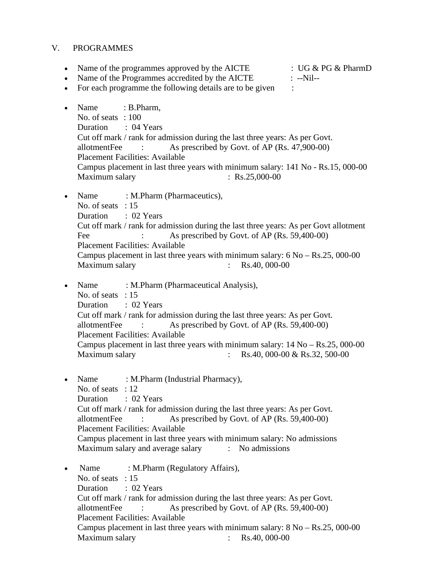#### V. PROGRAMMES

• Name of the programmes approved by the AICTE : UG  $\&$  PG  $\&$  PharmD

• Name of the Programmes accredited by the AICTE : --Nil--

• For each programme the following details are to be given :

- Name : B.Pharm, No. of seats : 100 Duration : 04 Years Cut off mark / rank for admission during the last three years: As per Govt. allotmentFee : As prescribed by Govt. of AP (Rs. 47,900-00) Placement Facilities: Available Campus placement in last three years with minimum salary: 141 No - Rs.15, 000-00 Maximum salary : Rs.25,000-00
- Name : M.Pharm (Pharmaceutics), No. of seats : 15 Duration : 02 Years Cut off mark / rank for admission during the last three years: As per Govt allotment Fee : As prescribed by Govt. of AP (Rs. 59,400-00) Placement Facilities: Available Campus placement in last three years with minimum salary: 6 No – Rs.25, 000-00 Maximum salary : Rs.40, 000-00
- Name : M.Pharm (Pharmaceutical Analysis), No. of seats : 15 Duration : 02 Years Cut off mark / rank for admission during the last three years: As per Govt. allotmentFee : As prescribed by Govt. of AP (Rs. 59,400-00) Placement Facilities: Available Campus placement in last three years with minimum salary: 14 No – Rs.25, 000-00 Maximum salary : Rs.40, 000-00 & Rs.32, 500-00
- Name : M.Pharm (Industrial Pharmacy), No. of seats : 12 Duration : 02 Years Cut off mark / rank for admission during the last three years: As per Govt. allotmentFee : As prescribed by Govt. of AP (Rs. 59,400-00) Placement Facilities: Available Campus placement in last three years with minimum salary: No admissions Maximum salary and average salary : No admissions
- Name : M.Pharm (Regulatory Affairs), No. of seats : 15 Duration : 02 Years Cut off mark / rank for admission during the last three years: As per Govt. allotmentFee : As prescribed by Govt. of AP (Rs. 59,400-00) Placement Facilities: Available Campus placement in last three years with minimum salary:  $8 \text{ No} - \text{Rs}.25,000-00$ Maximum salary : Rs.40, 000-00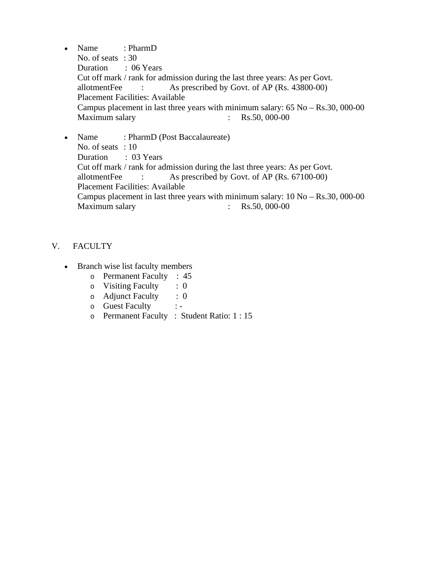- Name : PharmD No. of seats : 30 Duration : 06 Years Cut off mark / rank for admission during the last three years: As per Govt. allotmentFee : As prescribed by Govt. of AP (Rs. 43800-00) Placement Facilities: Available Campus placement in last three years with minimum salary: 65 No – Rs.30, 000-00 Maximum salary : Rs.50, 000-00
- Name : PharmD (Post Baccalaureate) No. of seats : 10 Duration : 03 Years Cut off mark / rank for admission during the last three years: As per Govt. allotmentFee : As prescribed by Govt. of AP (Rs. 67100-00) Placement Facilities: Available Campus placement in last three years with minimum salary:  $10$  No – Rs.30, 000-00<br>Maximum salary : Rs.50, 000-00 Maximum salary :  $\cdot$  :

#### V. FACULTY

- Branch wise list faculty members
	- o Permanent Faculty : 45
	-
	- o Visiting Faculty : 0<br>
	o Adjunct Faculty : 0 o Adjunct Faculty
	- o Guest Faculty : -
	- o Permanent Faculty : Student Ratio: 1 : 15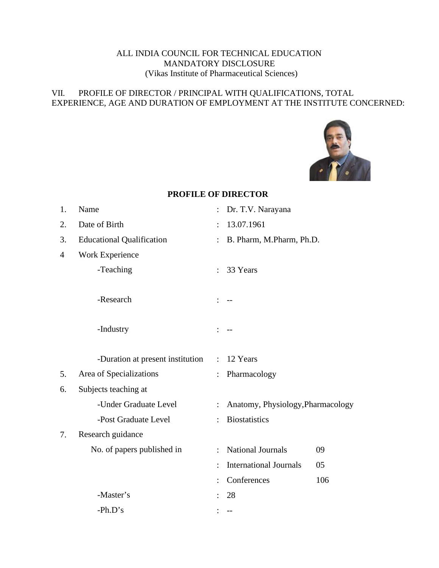#### VII. PROFILE OF DIRECTOR / PRINCIPAL WITH QUALIFICATIONS, TOTAL EXPERIENCE, AGE AND DURATION OF EMPLOYMENT AT THE INSTITUTE CONCERNED:



#### **PROFILE OF DIRECTOR**

| 1.             | Name                             | $\ddot{\cdot}$       | Dr. T.V. Narayana                 |     |
|----------------|----------------------------------|----------------------|-----------------------------------|-----|
| 2.             | Date of Birth                    | $\ddot{\phantom{0}}$ | 13.07.1961                        |     |
| 3.             | <b>Educational Qualification</b> | $\ddot{\cdot}$       | B. Pharm, M.Pharm, Ph.D.          |     |
| $\overline{4}$ | Work Experience                  |                      |                                   |     |
|                | -Teaching                        |                      | 33 Years                          |     |
|                | -Research                        |                      |                                   |     |
|                |                                  |                      |                                   |     |
|                | -Industry                        |                      |                                   |     |
|                |                                  |                      |                                   |     |
|                | -Duration at present institution | $\ddot{\cdot}$       | 12 Years                          |     |
| 5.             | Area of Specializations          |                      | Pharmacology                      |     |
| 6.             | Subjects teaching at             |                      |                                   |     |
|                | -Under Graduate Level            | $\ddot{\cdot}$       | Anatomy, Physiology, Pharmacology |     |
|                | -Post Graduate Level             |                      | <b>Biostatistics</b>              |     |
| 7.             | Research guidance                |                      |                                   |     |
|                | No. of papers published in       | $\cdot$              | <b>National Journals</b>          | 09  |
|                |                                  |                      | <b>International Journals</b>     | 05  |
|                |                                  |                      | Conferences                       | 106 |
|                | -Master's                        |                      | 28                                |     |
|                | $-Ph.D's$                        |                      |                                   |     |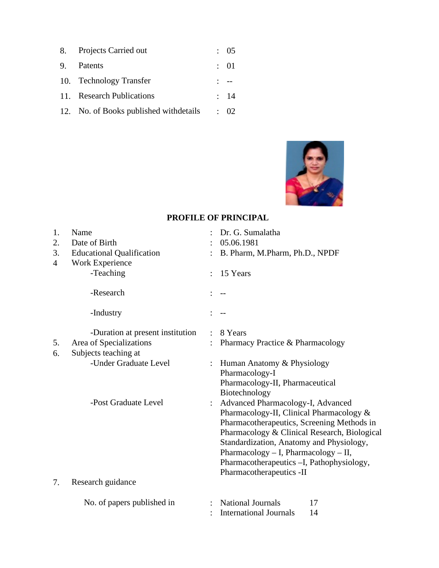| 8. Projects Carried out                 | : 05            |
|-----------------------------------------|-----------------|
| 9. Patents                              | : 01            |
| 10. Technology Transfer                 | $1 - -$         |
| 11. Research Publications               | $\therefore$ 14 |
| 12. No. of Books published with details | $\div$ 02       |



#### **PROFILE OF PRINCIPAL**

| 1. | Name                             |                | Dr. G. Sumalatha                             |
|----|----------------------------------|----------------|----------------------------------------------|
| 2. | Date of Birth                    |                | 05.06.1981                                   |
| 3. | <b>Educational Qualification</b> |                | B. Pharm, M.Pharm, Ph.D., NPDF               |
| 4  | Work Experience                  |                |                                              |
|    | -Teaching                        |                | 15 Years                                     |
|    | -Research                        |                |                                              |
|    | -Industry                        |                |                                              |
|    | -Duration at present institution |                | 8 Years                                      |
| 5. | Area of Specializations          |                | Pharmacy Practice & Pharmacology             |
| 6. | Subjects teaching at             |                |                                              |
|    | -Under Graduate Level            |                | Human Anatomy & Physiology                   |
|    |                                  |                | Pharmacology-I                               |
|    |                                  |                | Pharmacology-II, Pharmaceutical              |
|    |                                  |                | Biotechnology                                |
|    | -Post Graduate Level             | $\ddot{\cdot}$ | Advanced Pharmacology-I, Advanced            |
|    |                                  |                | Pharmacology-II, Clinical Pharmacology &     |
|    |                                  |                | Pharmacotherapeutics, Screening Methods in   |
|    |                                  |                | Pharmacology & Clinical Research, Biological |
|    |                                  |                | Standardization, Anatomy and Physiology,     |
|    |                                  |                | Pharmacology $-$ I, Pharmacology $-$ II,     |
|    |                                  |                | Pharmacotherapeutics -I, Pathophysiology,    |
|    |                                  |                | Pharmacotherapeutics -II                     |
| 7. | Research guidance                |                |                                              |
|    | No. of papers published in       |                | <b>National Journals</b><br>17               |
|    |                                  |                | <b>International Journals</b><br>14          |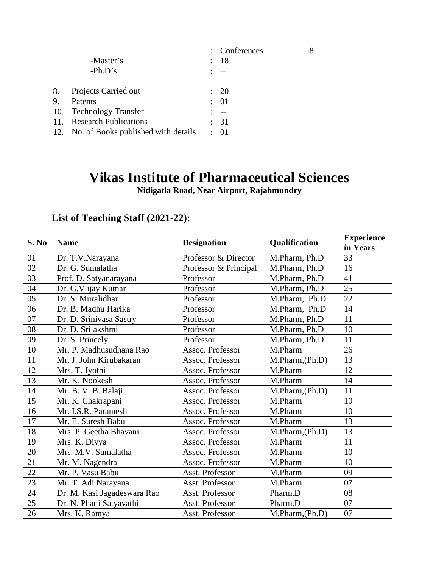|    |                                         | : Conferences   | 8 |
|----|-----------------------------------------|-----------------|---|
|    | -Master's                               | : 18            |   |
|    | $-Ph.D's$                               |                 |   |
| 8. | Projects Carried out                    | : 20            |   |
| 9. | Patents                                 | $\therefore$ 01 |   |
|    | 10. Technology Transfer                 |                 |   |
|    | 11. Research Publications               | : 31            |   |
|    | 12. No. of Books published with details | $\therefore$ 01 |   |
|    |                                         |                 |   |

# **Vikas Institute of Pharmaceutical Sciences**

**Nidigatla Road, Near Airport, Rajahmundry**

# **List of Teaching Staff (2021-22):**

| S. No | <b>Name</b>                 | <b>Designation</b>    | Qualification   | <b>Experience</b><br>in Years |
|-------|-----------------------------|-----------------------|-----------------|-------------------------------|
| 01    | Dr. T.V.Narayana            | Professor & Director  | M.Pharm, Ph.D   | 33                            |
| 02    | Dr. G. Sumalatha            | Professor & Principal | M.Pharm, Ph.D   | 16                            |
| 03    | Prof. D. Satyanarayana      | Professor             | M.Pharm, Ph.D   | 41                            |
| 04    | Dr. G.V ijay Kumar          | Professor             | M.Pharm, Ph.D   | 25                            |
| 05    | Dr. S. Muralidhar           | Professor             | M.Pharm, Ph.D   | 22                            |
| 06    | Dr. B. Madhu Harika         | Professor             | M.Pharm, Ph.D   | 14                            |
| 07    | Dr. D. Srinivasa Sastry     | Professor             | M.Pharm, Ph.D   | 11                            |
| 08    | Dr. D. Srilakshmi           | Professor             | M.Pharm, Ph.D   | 10                            |
| 09    | Dr. S. Princely             | Professor             | M.Pharm, Ph.D   | 11                            |
| 10    | Mr. P. Madhusudhana Rao     | Assoc. Professor      | M.Pharm         | 26                            |
| 11    | Mr. J. John Kirubakaran     | Assoc. Professor      | M.Pharm, (Ph.D) | 13                            |
| 12    | Mrs. T. Jyothi              | Assoc. Professor      | M.Pharm         | 12                            |
| 13    | Mr. K. Nookesh              | Assoc. Professor      | M.Pharm         | 14                            |
| 14    | Mr. B. V. B. Balaji         | Assoc. Professor      | M.Pharm, (Ph.D) | 11                            |
| 15    | Mr. K. Chakrapani           | Assoc. Professor      | M.Pharm         | 10                            |
| 16    | Mr. I.S.R. Paramesh         | Assoc. Professor      | M.Pharm         | 10                            |
| 17    | Mr. E. Suresh Babu          | Assoc. Professor      | M.Pharm         | 13                            |
| 18    | Mrs. P. Geetha Bhavani      | Assoc. Professor      | M.Pharm, (Ph.D) | 13                            |
| 19    | Mrs. K. Divya               | Assoc. Professor      | M.Pharm         | 11                            |
| 20    | Mrs. M.V. Sumalatha         | Assoc. Professor      | M.Pharm         | 10                            |
| 21    | Mr. M. Nagendra             | Assoc. Professor      | M.Pharm         | 10                            |
| 22    | Mr. P. Vasu Babu            | Asst. Professor       | M.Pharm         | 09                            |
| 23    | Mr. T. Adi Narayana         | Asst. Professor       | M.Pharm         | 07                            |
| 24    | Dr. M. Kasi Jagadeswara Rao | Asst. Professor       | Pharm.D         | 08                            |
| 25    | Dr. N. Phani Satyavathi     | Asst. Professor       | Pharm.D         | 07                            |
| 26    | Mrs. K. Ramya               | Asst. Professor       | M.Pharm, (Ph.D) | 07                            |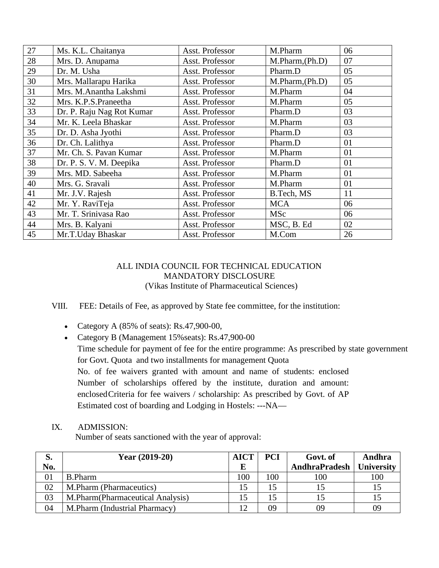| 27 | Ms. K.L. Chaitanya        | Asst. Professor | M.Pharm         | 06 |
|----|---------------------------|-----------------|-----------------|----|
| 28 | Mrs. D. Anupama           | Asst. Professor | M.Pharm,(Ph.D)  | 07 |
| 29 | Dr. M. Usha               | Asst. Professor | Pharm.D         | 05 |
| 30 | Mrs. Mallarapu Harika     | Asst. Professor | M.Pharm, (Ph.D) | 05 |
| 31 | Mrs. M.Anantha Lakshmi    | Asst. Professor | M.Pharm         | 04 |
| 32 | Mrs. K.P.S.Praneetha      | Asst. Professor | M.Pharm         | 05 |
| 33 | Dr. P. Raju Nag Rot Kumar | Asst. Professor | Pharm.D         | 03 |
| 34 | Mr. K. Leela Bhaskar      | Asst. Professor | M.Pharm         | 03 |
| 35 | Dr. D. Asha Jyothi        | Asst. Professor | Pharm.D         | 03 |
| 36 | Dr. Ch. Lalithya          | Asst. Professor | Pharm.D         | 01 |
| 37 | Mr. Ch. S. Pavan Kumar    | Asst. Professor | M.Pharm         | 01 |
| 38 | Dr. P. S. V. M. Deepika   | Asst. Professor | Pharm.D         | 01 |
| 39 | Mrs. MD. Sabeeha          | Asst. Professor | M.Pharm         | 01 |
| 40 | Mrs. G. Sravali           | Asst. Professor | M.Pharm         | 01 |
| 41 | Mr. J.V. Rajesh           | Asst. Professor | B.Tech, MS      | 11 |
| 42 | Mr. Y. RaviTeja           | Asst. Professor | <b>MCA</b>      | 06 |
| 43 | Mr. T. Srinivasa Rao      | Asst. Professor | <b>MSc</b>      | 06 |
| 44 | Mrs. B. Kalyani           | Asst. Professor | MSC, B. Ed      | 02 |
| 45 | Mr.T.Uday Bhaskar         | Asst. Professor | M.Com           | 26 |

VIII. FEE: Details of Fee, as approved by State fee committee, for the institution:

- Category A (85% of seats): Rs.47,900-00,
- Category B (Management 15%seats): Rs.47,900-00 Time schedule for payment of fee for the entire programme: As prescribed by state government for Govt. Quota and two installments for management Quota No. of fee waivers granted with amount and name of students: enclosed Number of scholarships offered by the institute, duration and amount: enclosedCriteria for fee waivers / scholarship: As prescribed by Govt. of AP Estimated cost of boarding and Lodging in Hostels: ---NA—
- IX. ADMISSION:

Number of seats sanctioned with the year of approval:

| S.  | Year $(2019-20)$                  | <b>AICT</b> | <b>PCI</b> | Govt. of             | Andhra            |
|-----|-----------------------------------|-------------|------------|----------------------|-------------------|
| No. |                                   |             |            | <b>AndhraPradesh</b> | <b>University</b> |
| 01  | <b>B.Pharm</b>                    | 100         | 100        | 100                  | 100               |
| 02  | M.Pharm (Pharmaceutics)           |             | 15         |                      |                   |
| 03  | M.Pharm (Pharmaceutical Analysis) | 15          | 15         |                      |                   |
| 04  | M.Pharm (Industrial Pharmacy)     |             | 09         | 09                   | 09                |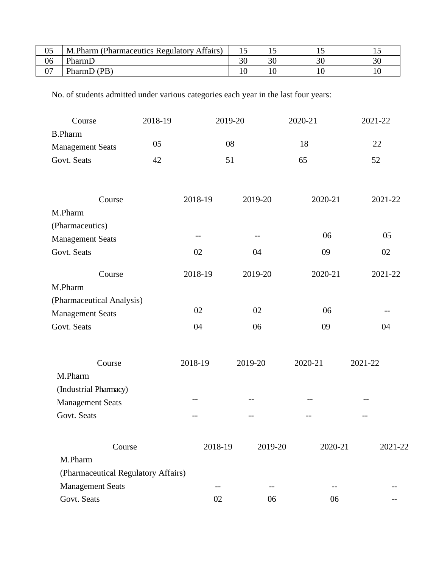| 05 | M.Pharm (Pharmaceutics Regulatory Affairs) |    |    |    |
|----|--------------------------------------------|----|----|----|
| 06 | PharmD                                     | nΩ | nη | 30 |
| 07 | PharmD (PB)                                |    |    |    |

No. of students admitted under various categories each year in the last four years:

| Course                              | 2018-19 | 2019-20 |         | 2020-21 | 2021-22 |
|-------------------------------------|---------|---------|---------|---------|---------|
| <b>B.Pharm</b>                      |         |         |         |         |         |
| <b>Management Seats</b>             | 05      | 08      |         | 18      | 22      |
| Govt. Seats                         | 42      | 51      |         | 65      | 52      |
|                                     |         |         |         |         |         |
| Course                              |         | 2018-19 | 2019-20 | 2020-21 | 2021-22 |
| M.Pharm                             |         |         |         |         |         |
| (Pharmaceutics)                     |         |         |         |         |         |
| <b>Management Seats</b>             |         |         |         | 06      | 05      |
| Govt. Seats                         |         | 02      | 04      | 09      | 02      |
| Course                              |         | 2018-19 | 2019-20 | 2020-21 | 2021-22 |
| M.Pharm                             |         |         |         |         |         |
| (Pharmaceutical Analysis)           |         |         |         |         |         |
| <b>Management Seats</b>             |         | 02      | 02      | 06      |         |
| Govt. Seats                         |         | 04      | 06      | 09      | 04      |
| Course                              |         | 2018-19 | 2019-20 | 2020-21 | 2021-22 |
| M.Pharm                             |         |         |         |         |         |
| (Industrial Pharmacy)               |         |         |         |         |         |
| <b>Management Seats</b>             |         | --      |         |         |         |
| Govt. Seats                         |         | $- -$   | $- -$   | --      |         |
|                                     |         |         |         |         |         |
| Course                              |         | 2018-19 | 2019-20 | 2020-21 | 2021-22 |
| M.Pharm                             |         |         |         |         |         |
| (Pharmaceutical Regulatory Affairs) |         |         |         |         |         |
| <b>Management Seats</b>             |         | --      | --      | $- -$   |         |
| Govt. Seats                         |         | 02      | 06      | 06      |         |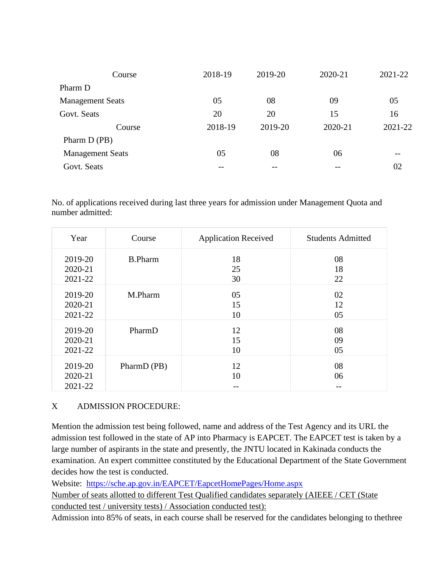| Course                  | 2018-19 | 2019-20 | 2020-21 | 2021-22 |
|-------------------------|---------|---------|---------|---------|
| Pharm D                 |         |         |         |         |
| <b>Management Seats</b> | 05      | 08      | 09      | 05      |
| Govt. Seats             | 20      | 20      | 15      | 16      |
| Course                  | 2018-19 | 2019-20 | 2020-21 | 2021-22 |
| Pharm D (PB)            |         |         |         |         |
| <b>Management Seats</b> | 05      | 08      | 06      |         |
| Govt. Seats             | --      |         |         | 02      |

No. of applications received during last three years for admission under Management Quota and number admitted:

| Year    | Course         | <b>Application Received</b> | <b>Students Admitted</b> |
|---------|----------------|-----------------------------|--------------------------|
| 2019-20 | <b>B.Pharm</b> | 18                          | 08                       |
| 2020-21 |                | 25                          | 18                       |
| 2021-22 |                | 30                          | 22                       |
| 2019-20 | M.Pharm        | 05                          | 02                       |
| 2020-21 |                | 15                          | 12                       |
| 2021-22 |                | 10                          | 05                       |
| 2019-20 | PharmD         | 12                          | 08                       |
| 2020-21 |                | 15                          | 09                       |
| 2021-22 |                | 10                          | 05                       |
| 2019-20 | PharmD (PB)    | 12                          | 08                       |
| 2020-21 |                | 10                          | 06                       |
| 2021-22 |                |                             |                          |

#### X ADMISSION PROCEDURE:

Mention the admission test being followed, name and address of the Test Agency and its URL the admission test followed in the state of AP into Pharmacy is EAPCET. The EAPCET test is taken by a large number of aspirants in the state and presently, the JNTU located in Kakinada conducts the examination. An expert committee constituted by the Educational Department of the State Government decides how the test is conducted.

Website: <https://sche.ap.gov.in/EAPCET/EapcetHomePages/Home.aspx>

Number of seats allotted to different Test Qualified candidates separately (AIEEE / CET (State conducted test / university tests) / Association conducted test):

Admission into 85% of seats, in each course shall be reserved for the candidates belonging to the three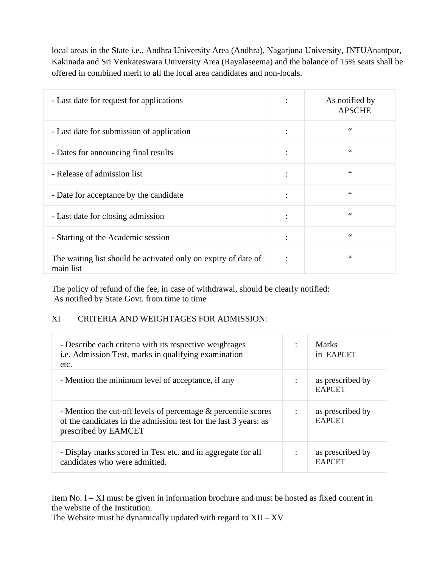local areas in the State i.e., Andhra University Area (Andhra), Nagarjuna University, JNTUAnantpur, Kakinada and Sri Venkateswara University Area (Rayalaseema) and the balance of 15% seats shall be offered in combined merit to all the local area candidates and non-locals.

| - Last date for request for applications                                    | $\ddot{\cdot}$         | As notified by<br><b>APSCHE</b> |
|-----------------------------------------------------------------------------|------------------------|---------------------------------|
| - Last date for submission of application                                   | $\bullet$<br>$\bullet$ | $\zeta\,\zeta$                  |
| - Dates for announcing final results                                        | $\ddot{\cdot}$         | $\zeta\,\zeta$                  |
| - Release of admission list                                                 | $\ddot{\cdot}$         | $\zeta$ $\zeta$                 |
| - Date for acceptance by the candidate                                      | ٠                      | $\zeta\,\zeta$                  |
| - Last date for closing admission                                           | $\ddot{\cdot}$         | 66                              |
| - Starting of the Academic session                                          | $\ddot{\cdot}$         | $\zeta$ $\zeta$                 |
| The waiting list should be activated only on expiry of date of<br>main list | $\bullet$              | $\zeta\,\zeta$                  |

The policy of refund of the fee, in case of withdrawal, should be clearly notified: As notified by State Govt. from time to time

#### XI CRITERIA AND WEIGHTAGES FOR ADMISSION:

| - Describe each criteria with its respective weightages<br>i.e. Admission Test, marks in qualifying examination<br>etc.                                       | Marks<br>in EAPCET                |
|---------------------------------------------------------------------------------------------------------------------------------------------------------------|-----------------------------------|
| - Mention the minimum level of acceptance, if any                                                                                                             | as prescribed by<br><b>EAPCET</b> |
| - Mention the cut-off levels of percentage $\&$ percentile scores<br>of the candidates in the admission test for the last 3 years: as<br>prescribed by EAMCET | as prescribed by<br><b>EAPCET</b> |
| - Display marks scored in Test etc. and in aggregate for all<br>candidates who were admitted.                                                                 | as prescribed by<br><b>EAPCET</b> |

Item No. I – XI must be given in information brochure and must be hosted as fixed content in the website of the Institution.

The Website must be dynamically updated with regard to  $XII - XV$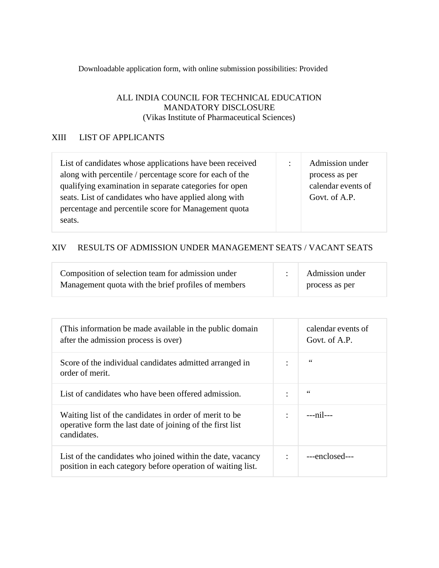Downloadable application form, with online submission possibilities: Provided

#### ALL INDIA COUNCIL FOR TECHNICAL EDUCATION MANDATORY DISCLOSURE (Vikas Institute of Pharmaceutical Sciences)

#### XIII LIST OF APPLICANTS

| List of candidates whose applications have been received | $\sim$ | Admission under    |
|----------------------------------------------------------|--------|--------------------|
| along with percentile / percentage score for each of the |        | process as per     |
| qualifying examination in separate categories for open   |        | calendar events of |
| seats. List of candidates who have applied along with    |        | Govt. of A.P.      |
| percentage and percentile score for Management quota     |        |                    |
| seats.                                                   |        |                    |
|                                                          |        |                    |

#### XIV RESULTS OF ADMISSION UNDER MANAGEMENT SEATS / VACANT SEATS

| Composition of selection team for admission under   | Admission under |
|-----------------------------------------------------|-----------------|
| Management quota with the brief profiles of members | process as per  |

| (This information be made available in the public domain)<br>after the admission process is over)                                  |                | calendar events of<br>Govt. of A.P. |
|------------------------------------------------------------------------------------------------------------------------------------|----------------|-------------------------------------|
| Score of the individual candidates admitted arranged in<br>order of merit.                                                         | ٠              | 66                                  |
| List of candidates who have been offered admission.                                                                                | ٠              | 66                                  |
| Waiting list of the candidates in order of merit to be<br>operative form the last date of joining of the first list<br>candidates. | $\ddot{\cdot}$ | $---nil---$                         |
| List of the candidates who joined within the date, vacancy<br>position in each category before operation of waiting list.          |                | ---enclosed---                      |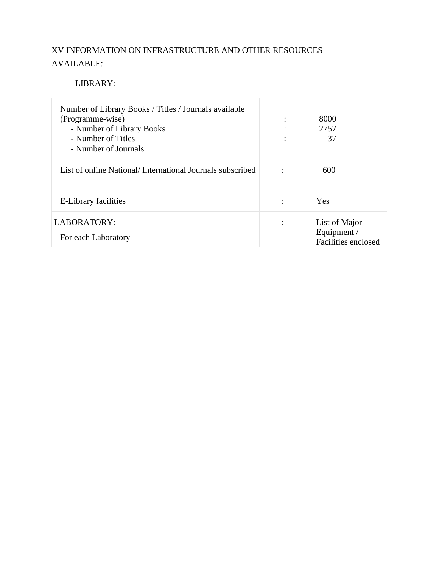### XV INFORMATION ON INFRASTRUCTURE AND OTHER RESOURCES AVAILABLE:

#### LIBRARY:

| Number of Library Books / Titles / Journals available<br>(Programme-wise)<br>- Number of Library Books<br>- Number of Titles<br>- Number of Journals |                | 8000<br>2757<br>37                                  |
|------------------------------------------------------------------------------------------------------------------------------------------------------|----------------|-----------------------------------------------------|
| List of online National/International Journals subscribed                                                                                            | $\ddot{\cdot}$ | 600                                                 |
| E-Library facilities                                                                                                                                 |                | Yes                                                 |
| LABORATORY:<br>For each Laboratory                                                                                                                   | ٠              | List of Major<br>Equipment /<br>Facilities enclosed |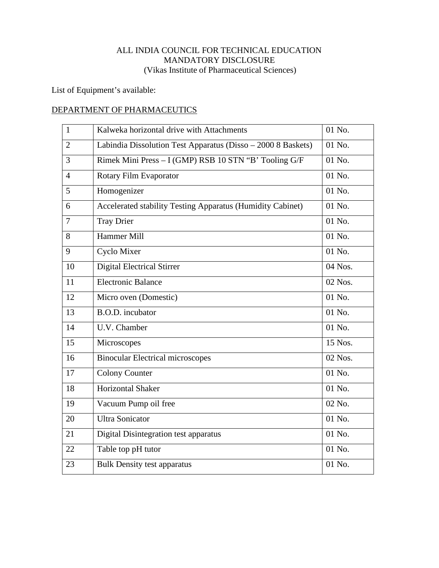List of Equipment's available:

#### DEPARTMENT OF PHARMACEUTICS

| $\mathbf{1}$   | Kalweka horizontal drive with Attachments                    | 01 No.  |
|----------------|--------------------------------------------------------------|---------|
| $\overline{2}$ | Labindia Dissolution Test Apparatus (Disso - 2000 8 Baskets) | 01 No.  |
| 3              | Rimek Mini Press - I (GMP) RSB 10 STN "B" Tooling G/F        | 01 No.  |
| $\overline{4}$ | Rotary Film Evaporator                                       | 01 No.  |
| 5              | Homogenizer                                                  | 01 No.  |
| 6              | Accelerated stability Testing Apparatus (Humidity Cabinet)   | 01 No.  |
| $\overline{7}$ | <b>Tray Drier</b>                                            | 01 No.  |
| 8              | Hammer Mill                                                  | 01 No.  |
| 9              | Cyclo Mixer                                                  | 01 No.  |
| 10             | Digital Electrical Stirrer                                   | 04 Nos. |
| 11             | <b>Electronic Balance</b>                                    | 02 Nos. |
| 12             | Micro oven (Domestic)                                        | 01 No.  |
| 13             | B.O.D. incubator                                             | 01 No.  |
| 14             | U.V. Chamber                                                 | 01 No.  |
| 15             | Microscopes                                                  | 15 Nos. |
| 16             | Binocular Electrical microscopes                             | 02 Nos. |
| 17             | <b>Colony Counter</b>                                        | 01 No.  |
| 18             | <b>Horizontal Shaker</b>                                     | 01 No.  |
| 19             | Vacuum Pump oil free                                         | 02 No.  |
| 20             | <b>Ultra Sonicator</b>                                       | 01 No.  |
| 21             | Digital Disintegration test apparatus                        | 01 No.  |
| 22             | Table top pH tutor                                           | 01 No.  |
| 23             | <b>Bulk Density test apparatus</b>                           | 01 No.  |
|                |                                                              |         |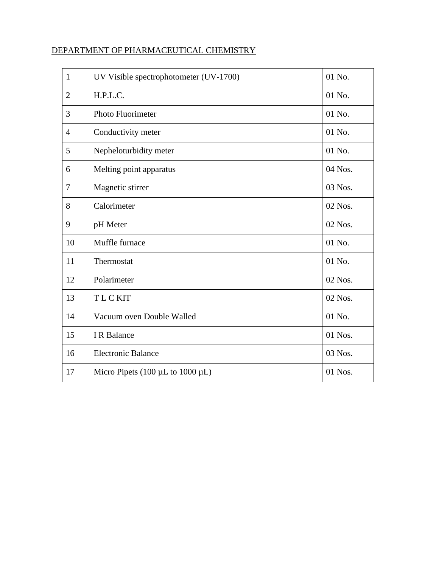#### DEPARTMENT OF PHARMACEUTICAL CHEMISTRY

| $\mathbf{1}$   | UV Visible spectrophotometer (UV-1700)     | 01 No.  |
|----------------|--------------------------------------------|---------|
| $\overline{2}$ | H.P.L.C.                                   | 01 No.  |
| 3              | Photo Fluorimeter                          | 01 No.  |
| $\overline{4}$ | Conductivity meter                         | 01 No.  |
| 5              | Nepheloturbidity meter                     | 01 No.  |
| 6              | Melting point apparatus                    | 04 Nos. |
| $\overline{7}$ | Magnetic stirrer                           | 03 Nos. |
| 8              | Calorimeter                                | 02 Nos. |
| 9              | pH Meter                                   | 02 Nos. |
| 10             | Muffle furnace                             | 01 No.  |
| 11             | Thermostat                                 | 01 No.  |
| 12             | Polarimeter                                | 02 Nos. |
| 13             | <b>TLCKIT</b>                              | 02 Nos. |
| 14             | Vacuum oven Double Walled                  | 01 No.  |
| 15             | I R Balance                                | 01 Nos. |
| 16             | <b>Electronic Balance</b>                  | 03 Nos. |
| 17             | Micro Pipets (100 $\mu$ L to 1000 $\mu$ L) | 01 Nos. |
|                |                                            |         |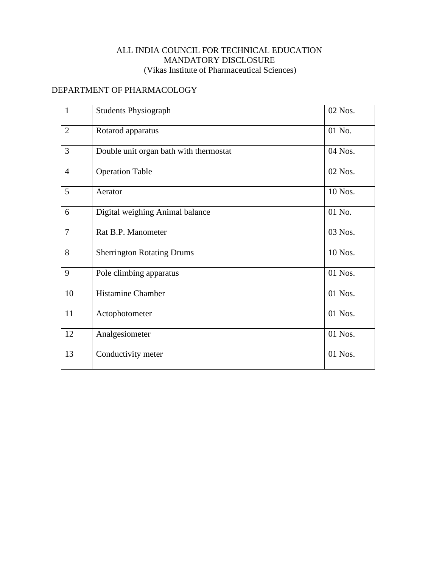#### DEPARTMENT OF PHARMACOLOGY

| $\mathbf{1}$   | <b>Students Physiograph</b>            | 02 Nos. |
|----------------|----------------------------------------|---------|
| $\overline{2}$ | Rotarod apparatus                      | 01 No.  |
| $\overline{3}$ | Double unit organ bath with thermostat | 04 Nos. |
| $\overline{4}$ | <b>Operation Table</b>                 | 02 Nos. |
| 5              | Aerator                                | 10 Nos. |
| 6              | Digital weighing Animal balance        | 01 No.  |
| $\overline{7}$ | Rat B.P. Manometer                     | 03 Nos. |
| 8              | <b>Sherrington Rotating Drums</b>      | 10 Nos. |
| 9              | Pole climbing apparatus                | 01 Nos. |
| 10             | <b>Histamine Chamber</b>               | 01 Nos. |
| 11             | Actophotometer                         | 01 Nos. |
| 12             | Analgesiometer                         | 01 Nos. |
| 13             | Conductivity meter                     | 01 Nos. |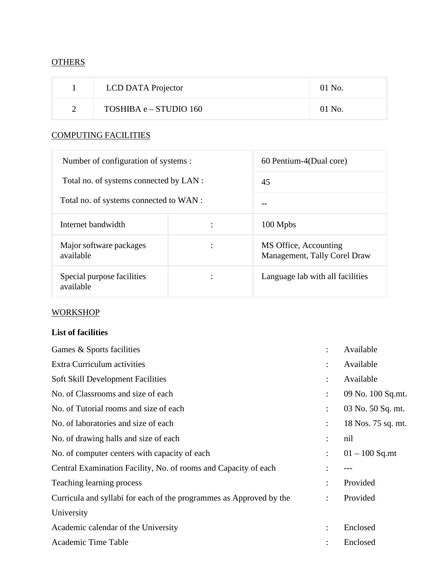#### **OTHERS**

| LCD DATA Projector     | 01 No.   |
|------------------------|----------|
| TOSHIBA e – STUDIO 160 | $01$ No. |

#### COMPUTING FACILITIES

| Number of configuration of systems :    |                | 60 Pentium-4(Dual core)                               |  |
|-----------------------------------------|----------------|-------------------------------------------------------|--|
| Total no. of systems connected by LAN : |                | 45                                                    |  |
| Total no. of systems connected to WAN : |                |                                                       |  |
| Internet bandwidth                      | $\ddot{\cdot}$ | 100 Mpbs                                              |  |
| Major software packages<br>available    | $\ddot{\cdot}$ | MS Office, Accounting<br>Management, Tally Corel Draw |  |
| Special purpose facilities<br>available |                | Language lab with all facilities                      |  |

#### **WORKSHOP**

#### **List of facilities**

| Games & Sports facilities                                           | ٠                    | Available          |
|---------------------------------------------------------------------|----------------------|--------------------|
| Extra Curriculum activities                                         |                      | Available          |
| <b>Soft Skill Development Facilities</b>                            |                      | Available          |
| No. of Classrooms and size of each                                  |                      | 09 No. 100 Sq.mt.  |
| No. of Tutorial rooms and size of each                              | ÷                    | 03 No. 50 Sq. mt.  |
| No. of laboratories and size of each                                | ÷                    | 18 Nos. 75 sq. mt. |
| No. of drawing halls and size of each                               | ÷                    | nil                |
| No. of computer centers with capacity of each                       | $\ddot{\cdot}$       | $01 - 100$ Sq.mt   |
| Central Examination Facility, No. of rooms and Capacity of each     |                      |                    |
| Teaching learning process                                           | ٠                    | Provided           |
| Curricula and syllabi for each of the programmes as Approved by the | ÷                    | Provided           |
| University                                                          |                      |                    |
| Academic calendar of the University                                 | $\ddot{\phantom{a}}$ | Enclosed           |
| Academic Time Table                                                 |                      | Enclosed           |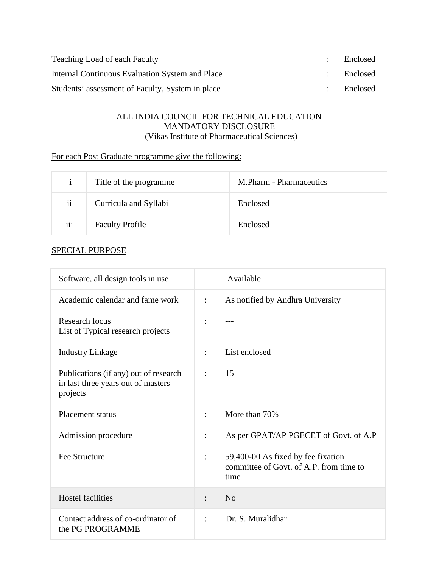| Teaching Load of each Faculty                    | Enclosed |
|--------------------------------------------------|----------|
| Internal Continuous Evaluation System and Place  | Enclosed |
| Students' assessment of Faculty, System in place | Enclosed |

#### For each Post Graduate programme give the following:

| $\mathbf{1}$            | Title of the programme | M.Pharm - Pharmaceutics |
|-------------------------|------------------------|-------------------------|
| $\overline{\mathbf{u}}$ | Curricula and Syllabi  | Enclosed                |
| iii                     | <b>Faculty Profile</b> | Enclosed                |

| Software, all design tools in use                                                       |                | Available                                                                             |
|-----------------------------------------------------------------------------------------|----------------|---------------------------------------------------------------------------------------|
| Academic calendar and fame work                                                         | $\ddot{\cdot}$ | As notified by Andhra University                                                      |
| Research focus<br>List of Typical research projects                                     | $\ddot{\cdot}$ |                                                                                       |
| <b>Industry Linkage</b>                                                                 | $\ddot{\cdot}$ | List enclosed                                                                         |
| Publications (if any) out of research<br>in last three years out of masters<br>projects | $\ddot{\cdot}$ | 15                                                                                    |
| <b>Placement status</b>                                                                 | $\ddot{\cdot}$ | More than 70%                                                                         |
| Admission procedure                                                                     | $\ddot{\cdot}$ | As per GPAT/AP PGECET of Govt. of A.P                                                 |
| <b>Fee Structure</b>                                                                    | $\ddot{\cdot}$ | 59,400-00 As fixed by fee fixation<br>committee of Govt. of A.P. from time to<br>time |
| <b>Hostel facilities</b>                                                                |                | N <sub>o</sub>                                                                        |
| Contact address of co-ordinator of<br>the PG PROGRAMME                                  | $\ddot{\cdot}$ | Dr. S. Muralidhar                                                                     |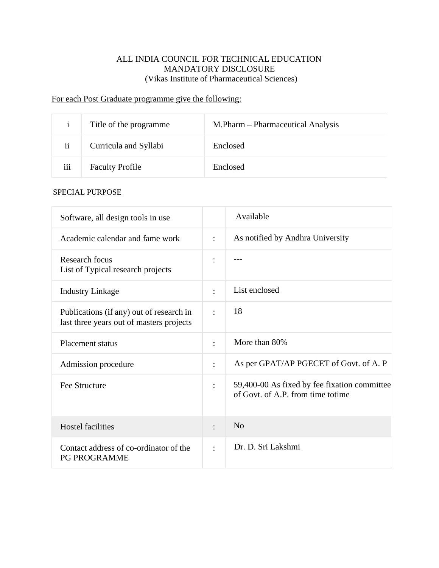#### For each Post Graduate programme give the following:

|               | Title of the programme. | M.Pharm – Pharmaceutical Analysis |
|---------------|-------------------------|-----------------------------------|
| $\mathbf{ii}$ | Curricula and Syllabi   | Enclosed                          |
| iii           | <b>Faculty Profile</b>  | Enclosed                          |

| Software, all design tools in use                                                    |                      | Available                                                                         |
|--------------------------------------------------------------------------------------|----------------------|-----------------------------------------------------------------------------------|
| Academic calendar and fame work                                                      | $\ddot{\phantom{a}}$ | As notified by Andhra University                                                  |
| Research focus<br>List of Typical research projects                                  | $\ddot{\cdot}$       |                                                                                   |
| <b>Industry Linkage</b>                                                              | $\ddot{\phantom{a}}$ | List enclosed                                                                     |
| Publications (if any) out of research in<br>last three years out of masters projects | $\ddot{\cdot}$       | 18                                                                                |
| Placement status                                                                     | $\bullet$            | More than 80%                                                                     |
| Admission procedure                                                                  | $\ddot{\cdot}$       | As per GPAT/AP PGECET of Govt. of A. P                                            |
| <b>Fee Structure</b>                                                                 | $\ddot{\cdot}$       | 59,400-00 As fixed by fee fixation committee<br>of Govt. of A.P. from time totime |
| <b>Hostel facilities</b>                                                             | $\bullet$            | N <sub>o</sub>                                                                    |
| Contact address of co-ordinator of the<br>PG PROGRAMME                               | $\ddot{\cdot}$       | Dr. D. Sri Lakshmi                                                                |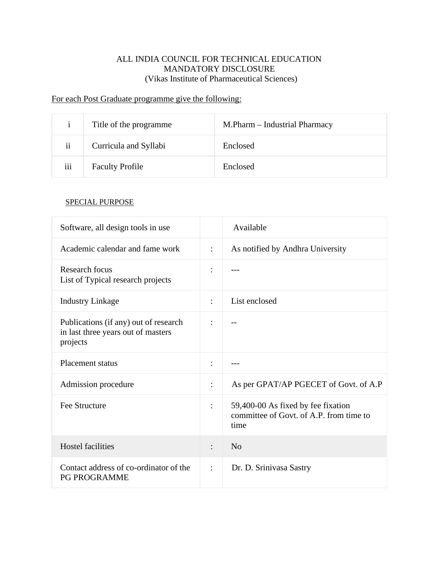# For each Post Graduate programme give the following:

| $\mathbf{1}$        | Title of the programme. | M.Pharm - Industrial Pharmacy |
|---------------------|-------------------------|-------------------------------|
| $\ddot{\mathbf{i}}$ | Curricula and Syllabi   | Enclosed                      |
| iii                 | <b>Faculty Profile</b>  | Enclosed                      |

| Software, all design tools in use                                                       |                | Available                                                                             |
|-----------------------------------------------------------------------------------------|----------------|---------------------------------------------------------------------------------------|
| Academic calendar and fame work                                                         | $\ddot{\cdot}$ | As notified by Andhra University                                                      |
| Research focus<br>List of Typical research projects                                     | :              |                                                                                       |
| <b>Industry Linkage</b>                                                                 | $\ddot{\cdot}$ | List enclosed                                                                         |
| Publications (if any) out of research<br>in last three years out of masters<br>projects | $\ddot{\cdot}$ |                                                                                       |
| <b>Placement status</b>                                                                 | $\ddot{\cdot}$ |                                                                                       |
| Admission procedure                                                                     | $\ddot{\cdot}$ | As per GPAT/AP PGECET of Govt. of A.P                                                 |
| <b>Fee Structure</b>                                                                    | $\ddot{\cdot}$ | 59,400-00 As fixed by fee fixation<br>committee of Govt. of A.P. from time to<br>time |
| <b>Hostel facilities</b>                                                                | $\ddot{\cdot}$ | No                                                                                    |
| Contact address of co-ordinator of the<br><b>PG PROGRAMME</b>                           | $\ddot{\cdot}$ | Dr. D. Srinivasa Sastry                                                               |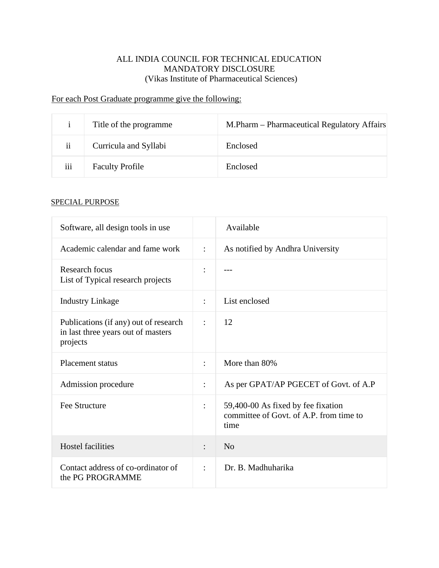# For each Post Graduate programme give the following:

| $\mathbf{1}$            | Title of the programme. | M.Pharm – Pharmaceutical Regulatory Affairs |
|-------------------------|-------------------------|---------------------------------------------|
| $\overline{\mathbf{1}}$ | Curricula and Syllabi   | Enclosed                                    |
| iii                     | <b>Faculty Profile</b>  | Enclosed                                    |

| Software, all design tools in use                                                       |                      | Available                                                                             |
|-----------------------------------------------------------------------------------------|----------------------|---------------------------------------------------------------------------------------|
| Academic calendar and fame work                                                         | $\ddot{\cdot}$       | As notified by Andhra University                                                      |
| Research focus<br>List of Typical research projects                                     |                      |                                                                                       |
| <b>Industry Linkage</b>                                                                 | $\ddot{\cdot}$       | List enclosed                                                                         |
| Publications (if any) out of research<br>in last three years out of masters<br>projects | $\ddot{\cdot}$       | 12                                                                                    |
| <b>Placement status</b>                                                                 | $\ddot{\phantom{a}}$ | More than 80%                                                                         |
| Admission procedure                                                                     | $\ddot{\cdot}$       | As per GPAT/AP PGECET of Govt. of A.P                                                 |
| Fee Structure                                                                           |                      | 59,400-00 As fixed by fee fixation<br>committee of Govt. of A.P. from time to<br>time |
| <b>Hostel facilities</b>                                                                | $\ddot{\cdot}$       | N <sub>o</sub>                                                                        |
| Contact address of co-ordinator of<br>the PG PROGRAMME                                  | $\ddot{\cdot}$       | Dr. B. Madhuharika                                                                    |